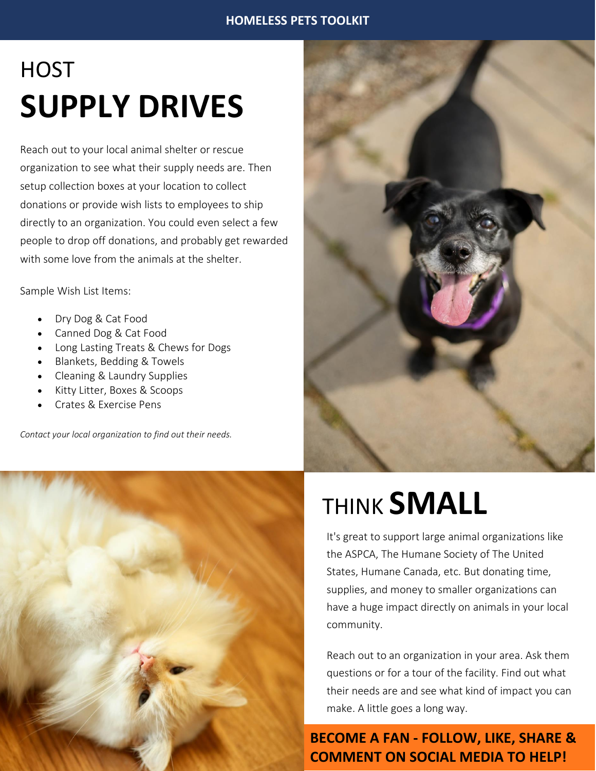# **HOST SUPPLY DRIVES**

Reach out to your local animal shelter or rescue organization to see what their supply needs are. Then setup collection boxes at your location to collect donations or provide wish lists to employees to ship directly to an organization. You could even select a few people to drop off donations, and probably get rewarded with some love from the animals at the shelter.

Sample Wish List Items:

- Dry Dog & Cat Food
- Canned Dog & Cat Food
- Long Lasting Treats & Chews for Dogs
- Blankets, Bedding & Towels
- Cleaning & Laundry Supplies
- Kitty Litter, Boxes & Scoops
- Crates & Exercise Pens

*Contact your local organization to find out their needs.*





## THINK **SMALL**

It's great to support large animal organizations like the ASPCA, The Humane Society of The United States, Humane Canada, etc. But donating time, supplies, and money to smaller organizations can have a huge impact directly on animals in your local community.

Reach out to an organization in your area. Ask them questions or for a tour of the facility. Find out what their needs are and see what kind of impact you can make. A little goes a long way.

#### **BECOME A FAN - FOLLOW, LIKE, SHARE & COMMENT ON SOCIAL MEDIA TO HELP!**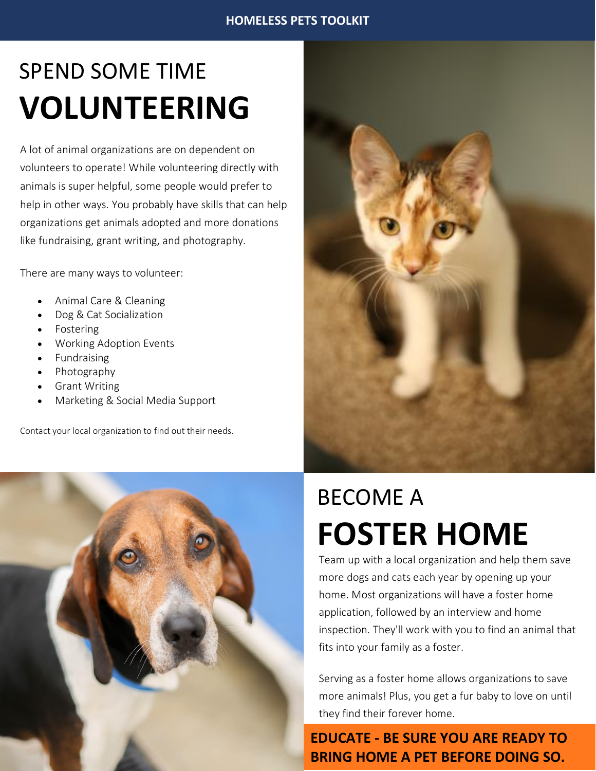#### **HOMELESS PETS TOOLKIT**

# SPEND SOME TIME **VOLUNTEERING**

A lot of animal organizations are on dependent on volunteers to operate! While volunteering directly with animals is super helpful, some people would prefer to help in other ways. You probably have skills that can help organizations get animals adopted and more donations like fundraising, grant writing, and photography.

There are many ways to volunteer:

- Animal Care & Cleaning
- Dog & Cat Socialization
- Fostering
- Working Adoption Events
- Fundraising
- Photography
- Grant Writing
- Marketing & Social Media Support

Contact your local organization to find out their needs.



## BECOME A **FOSTER HOME**

Team up with a local organization and help them save more dogs and cats each year by opening up your home. Most organizations will have a foster home application, followed by an interview and home inspection. They'll work with you to find an animal that fits into your family as a foster.

Serving as a foster home allows organizations to save more animals! Plus, you get a fur baby to love on until they find their forever home.

#### **EDUCATE - BE SURE YOU ARE READY TO BRING HOME A PET BEFORE DOING SO.**